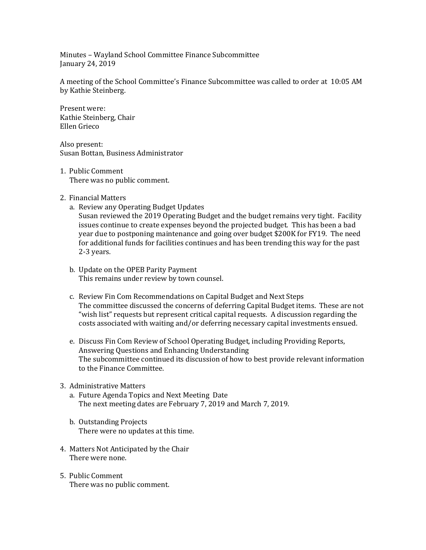Minutes – Wayland School Committee Finance Subcommittee January 24, 2019

A meeting of the School Committee's Finance Subcommittee was called to order at 10:05 AM by Kathie Steinberg.

Present were: Kathie Steinberg, Chair Ellen Grieco

Also present: Susan Bottan, Business Administrator

- 1. Public Comment There was no public comment.
- 2. Financial Matters
	- a. Review any Operating Budget Updates

Susan reviewed the 2019 Operating Budget and the budget remains very tight. Facility issues continue to create expenses beyond the projected budget. This has been a bad year due to postponing maintenance and going over budget \$200K for FY19. The need for additional funds for facilities continues and has been trending this way for the past 2-3 years.

- b. Update on the OPEB Parity Payment This remains under review by town counsel.
- c. Review Fin Com Recommendations on Capital Budget and Next Steps The committee discussed the concerns of deferring Capital Budget items. These are not "wish list" requests but represent critical capital requests. A discussion regarding the costs associated with waiting and/or deferring necessary capital investments ensued.
- e. Discuss Fin Com Review of School Operating Budget, including Providing Reports, Answering Questions and Enhancing Understanding The subcommittee continued its discussion of how to best provide relevant information to the Finance Committee.

## 3. Administrative Matters

- a. Future Agenda Topics and Next Meeting Date The next meeting dates are February 7, 2019 and March 7, 2019.
- b. Outstanding Projects There were no updates at this time.
- 4. Matters Not Anticipated by the Chair There were none.
- 5. Public Comment There was no public comment.